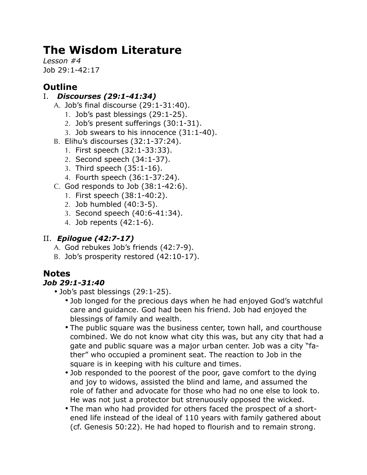# **The Wisdom Literature**

*Lesson #4* Job 29:1-42:17

## **Outline**

### I. *Discourses (29:1-41:34)*

- A. Job's final discourse (29:1-31:40).
	- 1. Job's past blessings (29:1-25).
	- 2. Job's present sufferings (30:1-31).
	- 3. Job swears to his innocence (31:1-40).
- B. Elihu's discourses (32:1-37:24).
	- 1. First speech (32:1-33:33).
	- 2. Second speech (34:1-37).
	- 3. Third speech (35:1-16).
	- 4. Fourth speech (36:1-37:24).
- $C.$  God responds to Job  $(38:1-42:6).$ 
	- 1. First speech (38:1-40:2).
	- 2. Job humbled (40:3-5).
	- 3. Second speech (40:6-41:34).
	- 4. Job repents (42:1-6).

### II. *Epilogue (42:7-17)*

- A. God rebukes Job's friends (42:7-9).
- B. Job's prosperity restored (42:10-17).

### **Notes**

### *Job 29:1-31:40*

- Job's past blessings (29:1-25).
	- Job longed for the precious days when he had enjoyed God's watchful care and guidance. God had been his friend. Job had enjoyed the blessings of family and wealth.
	- The public square was the business center, town hall, and courthouse combined. We do not know what city this was, but any city that had a gate and public square was a major urban center. Job was a city "father" who occupied a prominent seat. The reaction to Job in the square is in keeping with his culture and times.
	- Job responded to the poorest of the poor, gave comfort to the dying and joy to widows, assisted the blind and lame, and assumed the role of father and advocate for those who had no one else to look to. He was not just a protector but strenuously opposed the wicked.
	- The man who had provided for others faced the prospect of a shortened life instead of the ideal of 110 years with family gathered about (cf. Genesis 50:22). He had hoped to flourish and to remain strong.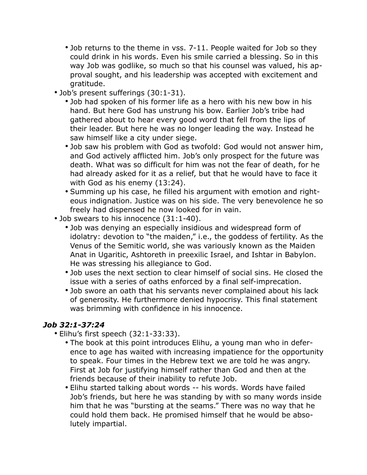- Job returns to the theme in vss. 7-11. People waited for Job so they could drink in his words. Even his smile carried a blessing. So in this way Job was godlike, so much so that his counsel was valued, his approval sought, and his leadership was accepted with excitement and gratitude.
- Job's present sufferings (30:1-31).
	- Job had spoken of his former life as a hero with his new bow in his hand. But here God has unstrung his bow. Earlier Job's tribe had gathered about to hear every good word that fell from the lips of their leader. But here he was no longer leading the way. Instead he saw himself like a city under siege.
	- Job saw his problem with God as twofold: God would not answer him, and God actively afflicted him. Job's only prospect for the future was death. What was so difficult for him was not the fear of death, for he had already asked for it as a relief, but that he would have to face it with God as his enemy (13:24).
	- Summing up his case, he filled his argument with emotion and righteous indignation. Justice was on his side. The very benevolence he so freely had dispensed he now looked for in vain.
- Job swears to his innocence (31:1-40).
	- Job was denying an especially insidious and widespread form of idolatry: devotion to "the maiden," i.e., the goddess of fertility. As the Venus of the Semitic world, she was variously known as the Maiden Anat in Ugaritic, Ashtoreth in preexilic Israel, and Ishtar in Babylon. He was stressing his allegiance to God.
	- Job uses the next section to clear himself of social sins. He closed the issue with a series of oaths enforced by a final self-imprecation.
	- Job swore an oath that his servants never complained about his lack of generosity. He furthermore denied hypocrisy. This final statement was brimming with confidence in his innocence.

### *Job 32:1-37:24*

- Elihu's first speech (32:1-33:33).
	- The book at this point introduces Elihu, a young man who in deference to age has waited with increasing impatience for the opportunity to speak. Four times in the Hebrew text we are told he was angry. First at Job for justifying himself rather than God and then at the friends because of their inability to refute Job.
	- Elihu started talking about words -- his words. Words have failed Job's friends, but here he was standing by with so many words inside him that he was "bursting at the seams." There was no way that he could hold them back. He promised himself that he would be absolutely impartial.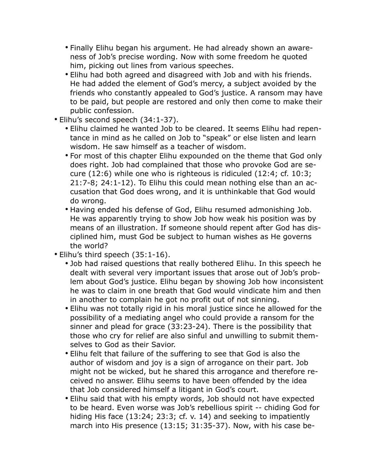- Finally Elihu began his argument. He had already shown an awareness of Job's precise wording. Now with some freedom he quoted him, picking out lines from various speeches.
- Elihu had both agreed and disagreed with Job and with his friends. He had added the element of God's mercy, a subject avoided by the friends who constantly appealed to God's justice. A ransom may have to be paid, but people are restored and only then come to make their public confession.
- Elihu's second speech (34:1-37).
	- Elihu claimed he wanted Job to be cleared. It seems Elihu had repentance in mind as he called on Job to "speak" or else listen and learn wisdom. He saw himself as a teacher of wisdom.
	- For most of this chapter Elihu expounded on the theme that God only does right. Job had complained that those who provoke God are secure (12:6) while one who is righteous is ridiculed (12:4; cf. 10:3; 21:7-8; 24:1-12). To Elihu this could mean nothing else than an accusation that God does wrong, and it is unthinkable that God would do wrong.
	- Having ended his defense of God, Elihu resumed admonishing Job. He was apparently trying to show Job how weak his position was by means of an illustration. If someone should repent after God has disciplined him, must God be subject to human wishes as He governs the world?
- Elihu's third speech (35:1-16).
	- Job had raised questions that really bothered Elihu. In this speech he dealt with several very important issues that arose out of Job's problem about God's justice. Elihu began by showing Job how inconsistent he was to claim in one breath that God would vindicate him and then in another to complain he got no profit out of not sinning.
	- Elihu was not totally rigid in his moral justice since he allowed for the possibility of a mediating angel who could provide a ransom for the sinner and plead for grace (33:23-24). There is the possibility that those who cry for relief are also sinful and unwilling to submit themselves to God as their Savior.
	- Elihu felt that failure of the suffering to see that God is also the author of wisdom and joy is a sign of arrogance on their part. Job might not be wicked, but he shared this arrogance and therefore received no answer. Elihu seems to have been offended by the idea that Job considered himself a litigant in God's court.
	- Elihu said that with his empty words, Job should not have expected to be heard. Even worse was Job's rebellious spirit -- chiding God for hiding His face (13:24; 23:3; cf. v. 14) and seeking to impatiently march into His presence (13:15; 31:35-37). Now, with his case be-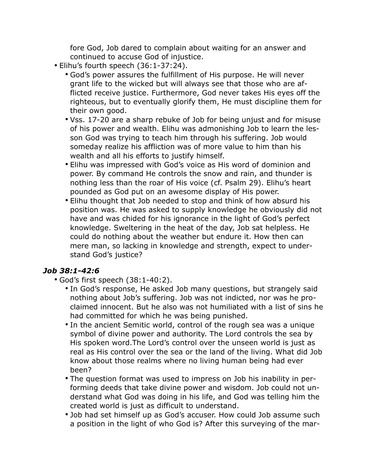fore God, Job dared to complain about waiting for an answer and continued to accuse God of injustice.

- Elihu's fourth speech (36:1-37:24).
	- God's power assures the fulfillment of His purpose. He will never grant life to the wicked but will always see that those who are afflicted receive justice. Furthermore, God never takes His eyes off the righteous, but to eventually glorify them, He must discipline them for their own good.
	- Vss. 17-20 are a sharp rebuke of Job for being unjust and for misuse of his power and wealth. Elihu was admonishing Job to learn the lesson God was trying to teach him through his suffering. Job would someday realize his affliction was of more value to him than his wealth and all his efforts to justify himself.
	- Elihu was impressed with God's voice as His word of dominion and power. By command He controls the snow and rain, and thunder is nothing less than the roar of His voice (cf. Psalm 29). Elihu's heart pounded as God put on an awesome display of His power.
	- Elihu thought that Job needed to stop and think of how absurd his position was. He was asked to supply knowledge he obviously did not have and was chided for his ignorance in the light of God's perfect knowledge. Sweltering in the heat of the day, Job sat helpless. He could do nothing about the weather but endure it. How then can mere man, so lacking in knowledge and strength, expect to understand God's justice?

### *Job 38:1-42:6*

- God's first speech (38:1-40:2).
	- In God's response, He asked Job many questions, but strangely said nothing about Job's suffering. Job was not indicted, nor was he proclaimed innocent. But he also was not humiliated with a list of sins he had committed for which he was being punished.
	- In the ancient Semitic world, control of the rough sea was a unique symbol of divine power and authority. The Lord controls the sea by His spoken word.The Lord's control over the unseen world is just as real as His control over the sea or the land of the living. What did Job know about those realms where no living human being had ever been?
	- The question format was used to impress on Job his inability in performing deeds that take divine power and wisdom. Job could not understand what God was doing in his life, and God was telling him the created world is just as difficult to understand.
	- Job had set himself up as God's accuser. How could Job assume such a position in the light of who God is? After this surveying of the mar-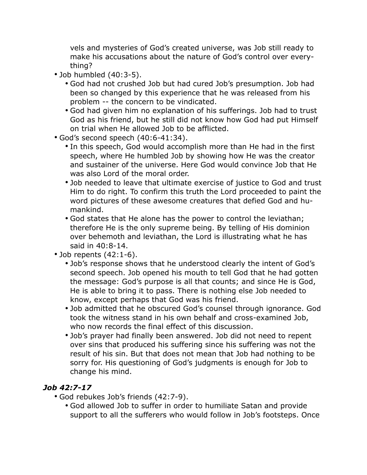vels and mysteries of God's created universe, was Job still ready to make his accusations about the nature of God's control over everything?

- Job humbled (40:3-5).
	- God had not crushed Job but had cured Job's presumption. Job had been so changed by this experience that he was released from his problem -- the concern to be vindicated.
	- God had given him no explanation of his sufferings. Job had to trust God as his friend, but he still did not know how God had put Himself on trial when He allowed Job to be afflicted.
- God's second speech (40:6-41:34).
	- In this speech, God would accomplish more than He had in the first speech, where He humbled Job by showing how He was the creator and sustainer of the universe. Here God would convince Job that He was also Lord of the moral order.
	- Job needed to leave that ultimate exercise of justice to God and trust Him to do right. To confirm this truth the Lord proceeded to paint the word pictures of these awesome creatures that defied God and humankind.
	- God states that He alone has the power to control the leviathan; therefore He is the only supreme being. By telling of His dominion over behemoth and leviathan, the Lord is illustrating what he has said in 40:8-14.
- $\cdot$  Job repents  $(42:1-6)$ .
	- Job's response shows that he understood clearly the intent of God's second speech. Job opened his mouth to tell God that he had gotten the message: God's purpose is all that counts; and since He is God, He is able to bring it to pass. There is nothing else Job needed to know, except perhaps that God was his friend.
	- Job admitted that he obscured God's counsel through ignorance. God took the witness stand in his own behalf and cross-examined Job, who now records the final effect of this discussion.
	- Job's prayer had finally been answered. Job did not need to repent over sins that produced his suffering since his suffering was not the result of his sin. But that does not mean that Job had nothing to be sorry for. His questioning of God's judgments is enough for Job to change his mind.

#### *Job 42:7-17*

- God rebukes Job's friends (42:7-9).
	- God allowed Job to suffer in order to humiliate Satan and provide support to all the sufferers who would follow in Job's footsteps. Once